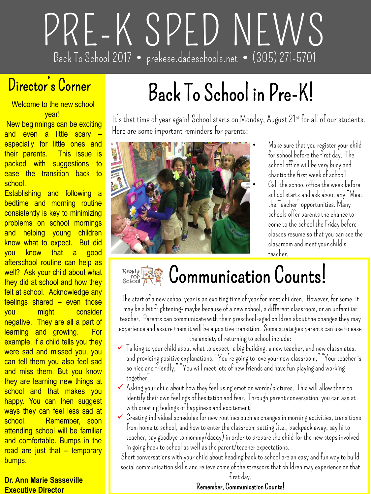# **PRE-K SPED NEWS Back To School 2017 prekese.dadeschools.net (305) 271-5701**

## **Director's Corner**

Welcome to the new school

year! New beginnings can be exciting and even a little scary especially for little ones and their parents. This issue is packed with suggestions to ease the transition back to school.

Establishing and following a bedtime and morning routine consistently is key to minimizing problems on school mornings and helping young children know what to expect. But did you know that a good afterschool routine can help as well? Ask your child about what they did at school and how they felt at school. Acknowledge any feelings shared – even those you might consider negative. They are all a part of learning and growing. For example, if a child tells you they were sad and missed you, you can tell them you also feel sad and miss them. But you know they are learning new things at school and that makes you happy. You can then suggest ways they can feel less sad at school. Remember, soon attending school will be familiar and comfortable. Bumps in the road are just that – temporary bumps.

#### **Dr. Ann Marie Sasseville Executive Director**

# **Back To School in Pre-K!**

**It's that time of year again! School starts on Monday, August 21st for all of our students. Here are some important reminders for parents:**



• **Make sure that you register your child for school before the first day. The school office will be very busy and chaotic the first week of school!** • **Call the school office the week before school starts and ask about any "Meet the Teacher" opportunities. Many schools offer parents the chance to come to the school the Friday before classes resume so that you can see the classroom and meet your child's teacher.**



## **Communication Counts!**

**The start of a new school year is an exciting time of year for most children. However, for some, it may be a bit frightening- maybe because of a new school, a different classroom, or an unfamiliar teacher. Parents can communicate with their preschool-aged children about the changes they may experience and assure them it will be a positive transition. Some strategies parents can use to ease the anxiety of returning to school include:**

- **Talking to your child about what to expect-a big building, a new teacher, and new classmates, and providing positive explanations: "You're going to love your new classroom," "Your teacher is so nice and friendly," "You will meet lots of new friends and have fun playing and working together"**
- **Asking your child about how they feel using emotion words/pictures. This will allow them to identify their own feelings of hesitation and fear. Through parent conversation, you can assist with creating feelings of happiness and excitement!**
- **Creating individual schedules for new routines such as changes in morning activities, transitions from home to school, and how to enter the classroom setting (i.e., backpack away, say hi to teacher, say goodbye to mommy/daddy) in order to prepare the child for the new steps involved in going back to school as well as the parent/teacher expectations.**

**Short conversations with your child about heading back to school are an easy and fun way to build social communication skills and relieve some of the stressors that children may experience on that** 

#### **first day. Remember, Communication Counts!**